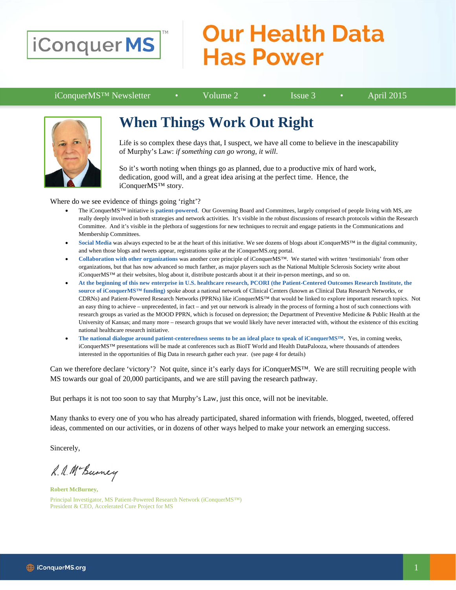

## **Our Health Data Has Power**

iConquerMS™ Newsletter • Volume 2 • Issue 3 • April 2015



### **When Things Work Out Right**

Life is so complex these days that, I suspect, we have all come to believe in the inescapability of Murphy's Law: *if something can go wrong, it will*.

So it's worth noting when things go as planned, due to a productive mix of hard work, dedication, good will, and a great idea arising at the perfect time. Hence, the iConquerMS™ story.

Where do we see evidence of things going 'right'?

- The iConquerMS™ initiative is **patient-powered**. Our Governing Board and Committees, largely comprised of people living with MS, are really deeply involved in both strategies and network activities. It's visible in the robust discussions of research protocols within the Research Committee. And it's visible in the plethora of suggestions for new techniques to recruit and engage patients in the Communications and Membership Committees.
- Social Media was always expected to be at the heart of this initiative. We see dozens of blogs about iConquerMS™ in the digital community, and when those blogs and tweets appear, registrations spike at the iConquerMS.org portal.
- **Collaboration with other organizations** was another core principle of iConquerMS™. We started with written 'testimonials' from other organizations, but that has now advanced so much farther, as major players such as the National Multiple Sclerosis Society write about iConquerMS™ at their websites, blog about it, distribute postcards about it at their in-person meetings, and so on.
- **At the beginning of this new enterprise in U.S. healthcare research, PCORI (the Patient-Centered Outcomes Research Institute, the source of iConquerMS™ funding)** spoke about a national network of Clinical Centers (known as Clinical Data Research Networks, or CDRNs) and Patient-Powered Research Networks (PPRNs) like iConquerMS™ that would be linked to explore important research topics. Not an easy thing to achieve – unprecedented, in fact – and yet our network is already in the process of forming a host of such connections with research groups as varied as the MOOD PPRN, which is focused on depression; the Department of Preventive Medicine & Public Health at the University of Kansas; and many more – research groups that we would likely have never interacted with, without the existence of this exciting national healthcare research initiative.
- **The national dialogue around patient-centeredness seems to be an ideal place to speak of iConquerMS™.** Yes, in coming weeks, iConquerMS™ presentations will be made at conferences such as BioIT World and Health DataPalooza, where thousands of attendees interested in the opportunities of Big Data in research gather each year. (see page 4 for details)

Can we therefore declare 'victory'? Not quite, since it's early days for iConquerMS™. We are still recruiting people with MS towards our goal of 20,000 participants, and we are still paving the research pathway.

But perhaps it is not too soon to say that Murphy's Law, just this once, will not be inevitable.

Many thanks to every one of you who has already participated, shared information with friends, blogged, tweeted, offered ideas, commented on our activities, or in dozens of other ways helped to make your network an emerging success.

Sincerely,

R. A. Mc Burney

**Robert McBurney,** Principal Investigator, MS Patient-Powered Research Network (iConquerMS™) President & CEO, Accelerated Cure Project for MS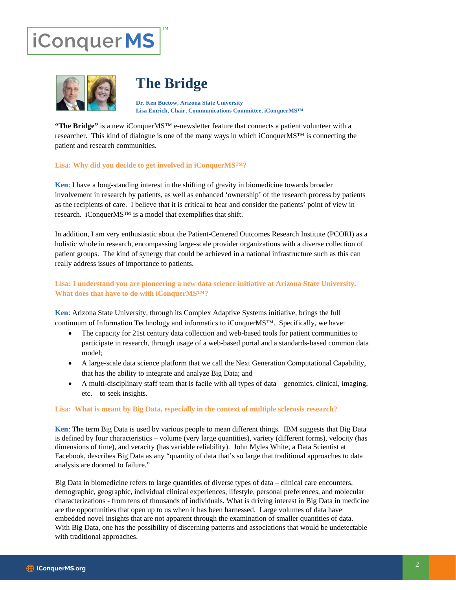# iConquerMS



### **The Bridge**

**Dr. Ken Buetow, Arizona State University Lisa Emrich, Chair, Communications Committee, iConquerMS™**

**"The Bridge"** is a new iConquerMS™ e-newsletter feature that connects a patient volunteer with a researcher. This kind of dialogue is one of the many ways in which iConquerMS™ is connecting the patient and research communities.

#### **Lisa: Why did you decide to get involved in iConquerMS™?**

**Ken**: I have a long-standing interest in the shifting of gravity in biomedicine towards broader involvement in research by patients, as well as enhanced 'ownership' of the research process by patients as the recipients of care. I believe that it is critical to hear and consider the patients' point of view in research. iConquerMS™ is a model that exemplifies that shift.

In addition, I am very enthusiastic about the Patient-Centered Outcomes Research Institute (PCORI) as a holistic whole in research, encompassing large-scale provider organizations with a diverse collection of patient groups. The kind of synergy that could be achieved in a national infrastructure such as this can really address issues of importance to patients.

#### **Lisa: I understand you are pioneering a new data science initiative at Arizona State University. What does that have to do with iConquerMS™?**

**Ken**: Arizona State University, through its Complex Adaptive Systems initiative, brings the full continuum of Information Technology and informatics to iConquerMS™. Specifically, we have:

- The capacity for 21st century data collection and web-based tools for patient communities to participate in research, through usage of a web-based portal and a standards-based common data model;
- A large-scale data science platform that we call the Next Generation Computational Capability, that has the ability to integrate and analyze Big Data; and
- A multi-disciplinary staff team that is facile with all types of data genomics, clinical, imaging, etc. – to seek insights.

#### **Lisa: What is meant by Big Data, especially in the context of multiple sclerosis research?**

**Ken**: The term Big Data is used by various people to mean different things. IBM suggests that Big Data is defined by four characteristics – volume (very large quantities), variety (different forms), velocity (has dimensions of time), and veracity (has variable reliability). John Myles White, a Data Scientist at Facebook, describes Big Data as any "quantity of data that's so large that traditional approaches to data analysis are doomed to failure."

Big Data in biomedicine refers to large quantities of diverse types of data – clinical care encounters, demographic, geographic, individual clinical experiences, lifestyle, personal preferences, and molecular characterizations - from tens of thousands of individuals. What is driving interest in Big Data in medicine are the opportunities that open up to us when it has been harnessed. Large volumes of data have embedded novel insights that are not apparent through the examination of smaller quantities of data. With Big Data, one has the possibility of discerning patterns and associations that would be undetectable with traditional approaches.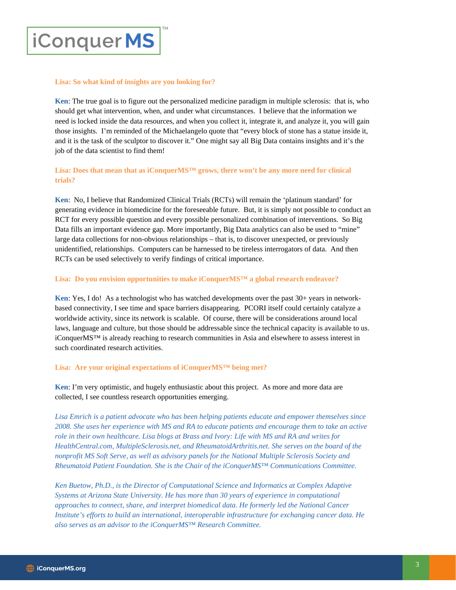## **iConquerMS**

#### **Lisa: So what kind of insights are you looking for?**

**Ken**: The true goal is to figure out the personalized medicine paradigm in multiple sclerosis: that is, who should get what intervention, when, and under what circumstances. I believe that the information we need is locked inside the data resources, and when you collect it, integrate it, and analyze it, you will gain those insights. I'm reminded of the Michaelangelo quote that "every block of stone has a statue inside it, and it is the task of the sculptor to discover it." One might say all Big Data contains insights and it's the job of the data scientist to find them!

#### **Lisa: Does that mean that as iConquerMS™ grows, there won't be any more need for clinical trials?**

**Ken**: No, I believe that Randomized Clinical Trials (RCTs) will remain the 'platinum standard' for generating evidence in biomedicine for the foreseeable future. But, it is simply not possible to conduct an RCT for every possible question and every possible personalized combination of interventions. So Big Data fills an important evidence gap. More importantly, Big Data analytics can also be used to "mine" large data collections for non-obvious relationships – that is, to discover unexpected, or previously unidentified, relationships. Computers can be harnessed to be tireless interrogators of data. And then RCTs can be used selectively to verify findings of critical importance.

#### **Lisa: Do you envision opportunities to make iConquerMS™ a global research endeavor?**

**Ken**: Yes, I do! As a technologist who has watched developments over the past 30+ years in networkbased connectivity, I see time and space barriers disappearing. PCORI itself could certainly catalyze a worldwide activity, since its network is scalable. Of course, there will be considerations around local laws, language and culture, but those should be addressable since the technical capacity is available to us. iConquerMS™ is already reaching to research communities in Asia and elsewhere to assess interest in such coordinated research activities.

#### **Lisa: Are your original expectations of iConquerMS™ being met?**

**Ken**: I'm very optimistic, and hugely enthusiastic about this project. As more and more data are collected, I see countless research opportunities emerging.

*Lisa Emrich is a patient advocate who has been helping patients educate and empower themselves since 2008. She uses her experience with MS and RA to educate patients and encourage them to take an active role in their own healthcare. Lisa blogs at Brass and Ivory: Life with MS and RA and writes for HealthCentral.com, MultipleSclerosis.net, and RheumatoidArthritis.net. She serves on the board of the nonprofit MS Soft Serve, as well as advisory panels for the National Multiple Sclerosis Society and Rheumatoid Patient Foundation. She is the Chair of the iConquerMS™ Communications Committee.* 

*Ken Buetow, Ph.D., is the Director of Computational Science and Informatics at Complex Adaptive Systems at Arizona State University. He has more than 30 years of experience in computational approaches to connect, share, and interpret biomedical data. He formerly led the National Cancer Institute's efforts to build an international, interoperable infrastructure for exchanging cancer data. He also serves as an advisor to the iConquerMS™ Research Committee.*